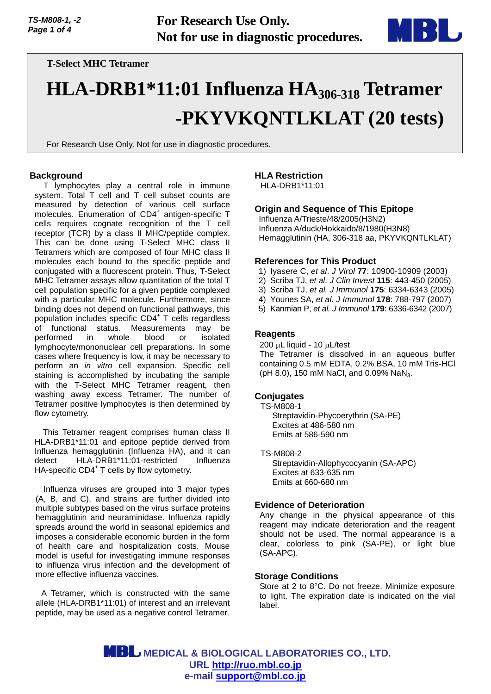

# **T-Select MHC Tetramer**

# **HLA-DRB1\*11:01 Influenza HA306-318 Tetramer -PKYVKQNTLKLAT (20 tests)**

For Research Use Only. Not for use in diagnostic procedures.

#### **Background**

T lymphocytes play a central role in immune system. Total T cell and T cell subset counts are measured by detection of various cell surface molecules. Enumeration of CD4<sup>+</sup> antigen-specific T cells requires cognate recognition of the T cell receptor (TCR) by a class II MHC/peptide complex. This can be done using T-Select MHC class II Tetramers which are composed of four MHC class II molecules each bound to the specific peptide and conjugated with a fluorescent protein. Thus, T-Select MHC Tetramer assays allow quantitation of the total T cell population specific for a given peptide complexed with a particular MHC molecule. Furthermore, since binding does not depend on functional pathways, this population includes specific CD4<sup>+</sup> T cells regardless of functional status. Measurements may be performed in whole blood or isolated lymphocyte/mononuclear cell preparations. In some cases where frequency is low, it may be necessary to perform an *in vitro* cell expansion. Specific cell staining is accomplished by incubating the sample with the T-Select MHC Tetramer reagent, then washing away excess Tetramer. The number of Tetramer positive lymphocytes is then determined by flow cytometry.

This Tetramer reagent comprises human class II HLA-DRB1\*11:01 and epitope peptide derived from Influenza hemagglutinin (Influenza HA), and it can detect HLA-DRB1\*11:01-restricted Influenza HA-specific CD4<sup>+</sup> T cells by flow cytometry.

Influenza viruses are grouped into 3 major types (A, B, and C), and strains are further divided into multiple subtypes based on the virus surface proteins hemagglutinin and neuraminidase. Influenza rapidly spreads around the world in seasonal epidemics and imposes a considerable economic burden in the form of health care and hospitalization costs. Mouse model is useful for investigating immune responses to influenza virus infection and the development of more effective influenza vaccines.

A Tetramer, which is constructed with the same allele (HLA-DRB1\*11:01) of interest and an irrelevant peptide, may be used as a negative control Tetramer.

# **HLA Restriction**

HLA-DRB1\*11:01

# **Origin and Sequence of This Epitope**

Influenza A/Trieste/48/2005(H3N2) Influenza A/duck/Hokkaido/8/1980(H3N8) Hemagglutinin (HA, 306-318 aa, PKYVKQNTLKLAT)

#### **References for This Product**

- 1) Iyasere C, *et al*. *J Virol* **77**: 10900-10909 (2003)
- 2) Scriba TJ, *et al*. *J Clin Invest* **115**: 443-450 (2005)
- 3) Scriba TJ, *et al. J Immunol* **175**: 6334-6343 (2005)
- 4) Younes SA, *et al. J Immunol* **178**: 788-797 (2007)
- 5) Kanmian P, *et al. J Immunol* **179**: 6336-6342 (2007)

#### **Reagents**

200 uL liquid - 10 uL/test

The Tetramer is dissolved in an aqueous buffer containing 0.5 mM EDTA, 0.2% BSA, 10 mM Tris-HCl (pH 8.0), 150 mM NaCl, and 0.09% NaN<sub>3</sub>.

## **Conjugates**

TS-M808-1 Streptavidin-Phycoerythrin (SA-PE) Excites at 486-580 nm Emits at 586-590 nm

TS-M808-2

Streptavidin-Allophycocyanin (SA-APC) Excites at 633-635 nm Emits at 660-680 nm

#### **Evidence of Deterioration**

Any change in the physical appearance of this reagent may indicate deterioration and the reagent should not be used. The normal appearance is a clear, colorless to pink (SA-PE), or light blue (SA-APC).

#### **Storage Conditions**

Store at 2 to 8°C. Do not freeze. Minimize exposure to light. The expiration date is indicated on the vial label.

 **MEDICAL & BIOLOGICAL LABORATORIES CO., LTD. URL [http://ruo.mbl.co.jp](https://ruo.mbl.co.jp/) e-mail [support@mbl.co.jp](mailto:support@mbl.co.jp)**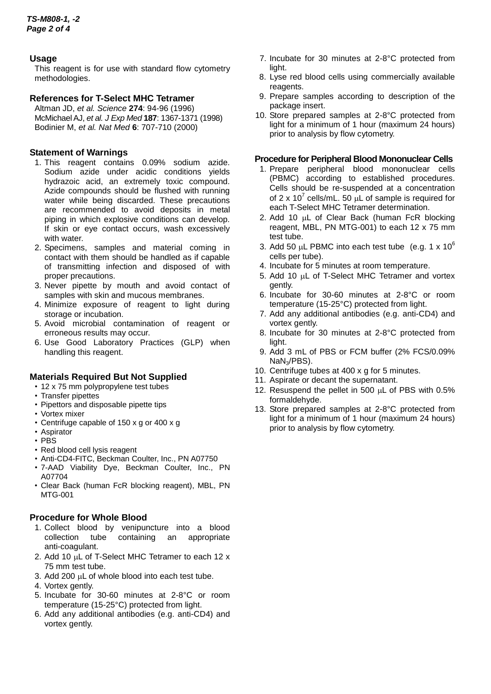# **Usage**

This reagent is for use with standard flow cytometry methodologies.

# **References for T-Select MHC Tetramer**

Altman JD, *et al. Science* **274**: 94-96 (1996) McMichael AJ, *et al. J Exp Med* **187**: 1367-1371 (1998) Bodinier M, *et al. Nat Med* **6**: 707-710 (2000)

# **Statement of Warnings**

- 1. This reagent contains 0.09% sodium azide. Sodium azide under acidic conditions yields hydrazoic acid, an extremely toxic compound. Azide compounds should be flushed with running water while being discarded. These precautions are recommended to avoid deposits in metal piping in which explosive conditions can develop. If skin or eye contact occurs, wash excessively with water.
- 2. Specimens, samples and material coming in contact with them should be handled as if capable of transmitting infection and disposed of with proper precautions.
- 3. Never pipette by mouth and avoid contact of samples with skin and mucous membranes.
- 4. Minimize exposure of reagent to light during storage or incubation.
- 5. Avoid microbial contamination of reagent or erroneous results may occur.
- 6. Use Good Laboratory Practices (GLP) when handling this reagent.

## **Materials Required But Not Supplied**

- 12 x 75 mm polypropylene test tubes
- Transfer pipettes
- Pipettors and disposable pipette tips
- Vortex mixer
- Centrifuge capable of 150 x g or 400 x g
- Aspirator
- PBS
- Red blood cell lysis reagent
- Anti-CD4-FITC, Beckman Coulter, Inc., PN A07750
- 7-AAD Viability Dye, Beckman Coulter, Inc., PN A07704
- Clear Back (human FcR blocking reagent), MBL, PN MTG-001

## **Procedure for Whole Blood**

- 1. Collect blood by venipuncture into a blood collection tube containing an appropriate collection tube containing an anti-coagulant.
- 2. Add 10 µL of T-Select MHC Tetramer to each 12 x 75 mm test tube.
- 3. Add 200 µL of whole blood into each test tube.
- 4. Vortex gently.
- 5. Incubate for 30-60 minutes at 2-8°C or room temperature (15-25°C) protected from light.
- 6. Add any additional antibodies (e.g. anti-CD4) and vortex gently.
- 7. Incubate for 30 minutes at 2-8°C protected from light.
- 8. Lyse red blood cells using commercially available reagents.
- 9. Prepare samples according to description of the package insert.
- 10. Store prepared samples at 2-8°C protected from light for a minimum of 1 hour (maximum 24 hours) prior to analysis by flow cytometry.

## **Procedure for Peripheral Blood Mononuclear Cells**

- 1. Prepare peripheral blood mononuclear cells (PBMC) according to established procedures. Cells should be re-suspended at a concentration of 2 x 10<sup>7</sup> cells/mL. 50  $\mu$ L of sample is required for each T-Select MHC Tetramer determination.
- 2. Add 10 µL of Clear Back (human FcR blocking reagent, MBL, PN MTG-001) to each 12 x 75 mm test tube.
- 3. Add 50  $\mu$ L PBMC into each test tube (e.g. 1 x 10<sup>6</sup>) cells per tube).
- 4. Incubate for 5 minutes at room temperature.
- 5. Add 10 µL of T-Select MHC Tetramer and vortex gently.
- 6. Incubate for 30-60 minutes at 2-8°C or room temperature (15-25°C) protected from light.
- 7. Add any additional antibodies (e.g. anti-CD4) and vortex gently.
- 8. Incubate for 30 minutes at 2-8°C protected from light.
- 9. Add 3 mL of PBS or FCM buffer (2% FCS/0.09% NaN3/PBS).
- 10. Centrifuge tubes at 400 x g for 5 minutes.
- 11. Aspirate or decant the supernatant.
- 12. Resuspend the pellet in 500 µL of PBS with 0.5% formaldehyde.
- 13. Store prepared samples at 2-8°C protected from light for a minimum of 1 hour (maximum 24 hours) prior to analysis by flow cytometry.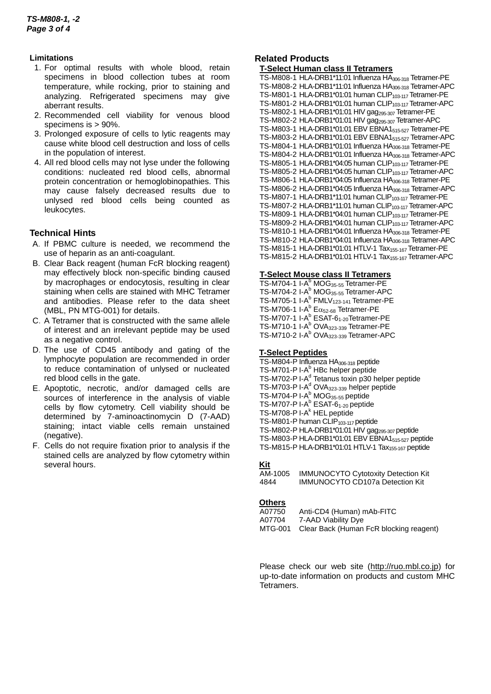## **Limitations**

- 1. For optimal results with whole blood, retain specimens in blood collection tubes at room temperature, while rocking, prior to staining and analyzing. Refrigerated specimens may give aberrant results.
- 2. Recommended cell viability for venous blood specimens is > 90%.
- 3. Prolonged exposure of cells to lytic reagents may cause white blood cell destruction and loss of cells in the population of interest.
- 4. All red blood cells may not lyse under the following conditions: nucleated red blood cells, abnormal protein concentration or hemoglobinopathies. This may cause falsely decreased results due to unlysed red blood cells being counted as leukocytes.

# **Technical Hints**

- A.If PBMC culture is needed, we recommend the use of heparin as an anti-coagulant.
- B.Clear Back reagent (human FcR blocking reagent) may effectively block non-specific binding caused by macrophages or endocytosis, resulting in clear staining when cells are stained with MHC Tetramer and antibodies. Please refer to the data sheet (MBL, PN MTG-001) for details.
- C.A Tetramer that is constructed with the same allele of interest and an irrelevant peptide may be used as a negative control.
- D.The use of CD45 antibody and gating of the lymphocyte population are recommended in order to reduce contamination of unlysed or nucleated red blood cells in the gate.
- E.Apoptotic, necrotic, and/or damaged cells are sources of interference in the analysis of viable cells by flow cytometry. Cell viability should be determined by 7-aminoactinomycin D (7-AAD) staining; intact viable cells remain unstained (negative).
- F. Cells do not require fixation prior to analysis if the stained cells are analyzed by flow cytometry within several hours.

# **Related Products**

#### **T-Select Human class II Tetramers**

TS-M808-1 HLA-DRB1\*11:01 Influenza HA306-318 Tetramer-PE TS-M808-2 HLA-DRB1\*11:01 Influenza HA306-318 Tetramer-APC TS-M801-1 HLA-DRB1\*01:01 human CLIP<sub>103-117</sub> Tetramer-PE TS-M801-2 HLA-DRB1\*01:01 human CLIP<sub>103-117</sub> Tetramer-APC TS-M802-1 HLA-DRB1\*01:01 HIV gag<sub>295-307</sub> Tetramer-PE TS-M802-2 HLA-DRB1\*01:01 HIV gag<sub>295-307</sub> Tetramer-APC TS-M803-1 HLA-DRB1\*01:01 EBV EBNA1515-527 Tetramer-PE TS-M803-2 HLA-DRB1\*01:01 EBV EBNA1515-527 Tetramer-APC TS-M804-1 HLA-DRB1\*01:01 Influenza HA306-318 Tetramer-PE TS-M804-2 HLA-DRB1\*01:01 Influenza HA<sub>306-318</sub> Tetramer-APC TS-M805-1 HLA-DRB1\*04:05 human CLIP103-117Tetramer-PE TS-M805-2 HLA-DRB1\*04:05 human CLIP103-117Tetramer-APC TS-M806-1 HLA-DRB1\*04:05 Influenza HA306-318 Tetramer-PE TS-M806-2 HLA-DRB1\*04:05 Influenza HA306-318 Tetramer-APC TS-M807-1 HLA-DRB1\*11:01 human CLIP<sub>103-117</sub> Tetramer-PE TS-M807-2 HLA-DRB1\*11:01 human CLIP<sub>103-117</sub> Tetramer-APC TS-M809-1 HLA-DRB1\*04:01 human CLIP<sub>103-117</sub> Tetramer-PE TS-M809-2 HLA-DRB1\*04:01 human CLIP<sub>103-117</sub> Tetramer-APC TS-M810-1 HLA-DRB1\*04:01 Influenza HA306-318 Tetramer-PE TS-M810-2 HLA-DRB1\*04:01 Influenza HA306-318 Tetramer-APC TS-M815-1 HLA-DRB1\*01:01 HTLV-1 Tax<sub>155-167</sub> Tetramer-PE TS-M815-2 HLA-DRB1\*01:01 HTLV-1 Tax<sub>155-167</sub> Tetramer-APC

## **T-Select Mouse class II Tetramers**

TS-M704-1 I-A<sup>b</sup> MOG<sub>35-55</sub> Tetramer-PE TS-M704-2 I-A<sup>b</sup> MOG<sub>35-55</sub> Tetramer-APC TS-M705-1 I- $A^b$  FML $V_{123-141}$  Tetramer-PE TS-M706-1 I-A $^{\text{b}}$  E $\alpha_{52\text{-}68}$  Tetramer-PE TS-M707-1 I-A<sup>b</sup> ESAT-6<sub>1-20</sub>Tetramer-PE TS-M710-1 I-A<sup>b</sup> OVA<sub>323-339</sub> Tetramer-PE TS-M710-2 I-A<sup>b</sup> OVA<sub>323-339</sub> Tetramer-APC

#### **T-Select Peptides**

TS-M804-P Influenza HA306-318 peptide TS-M701-P I-A<sup>b</sup> HBc helper peptide TS-M702-P I-A<sup>d</sup> Tetanus toxin p30 helper peptide TS-M703-P I-A<sup>d</sup> OVA<sub>323-339</sub> helper peptide  $TS-M704-P I-A<sup>b</sup> MOG<sub>35-55</sub> peptide$ TS-M707-P I-A<sup>b</sup> ESAT-6<sub>1-20</sub> peptide TS-M708-P I-A<sup>k</sup> HEL peptide TS-M801-P human CLIP<sub>103-117</sub> peptide TS-M802-P HLA-DRB1\*01:01 HIV gag295-307 peptide TS-M803-P HLA-DRB1\*01:01 EBV EBNA1515-527 peptide TS-M815-P HLA-DRB1\*01:01 HTLV-1 Tax<sub>155-167</sub> peptide

## **Kit**

AM-1005 IMMUNOCYTO Cytotoxity Detection Kit **IMMUNOCYTO CD107a Detection Kit** 

#### **Others**

| A07750  | Anti-CD4 (Human) mAb-FITC               |
|---------|-----------------------------------------|
| A07704  | 7-AAD Viability Dye                     |
| MTG-001 | Clear Back (Human FcR blocking reagent) |

Please check our web site [\(http://ruo.mbl.co.jp\)](https://ruo.mbl.co.jp/) for up-to-date information on products and custom MHC Tetramers.